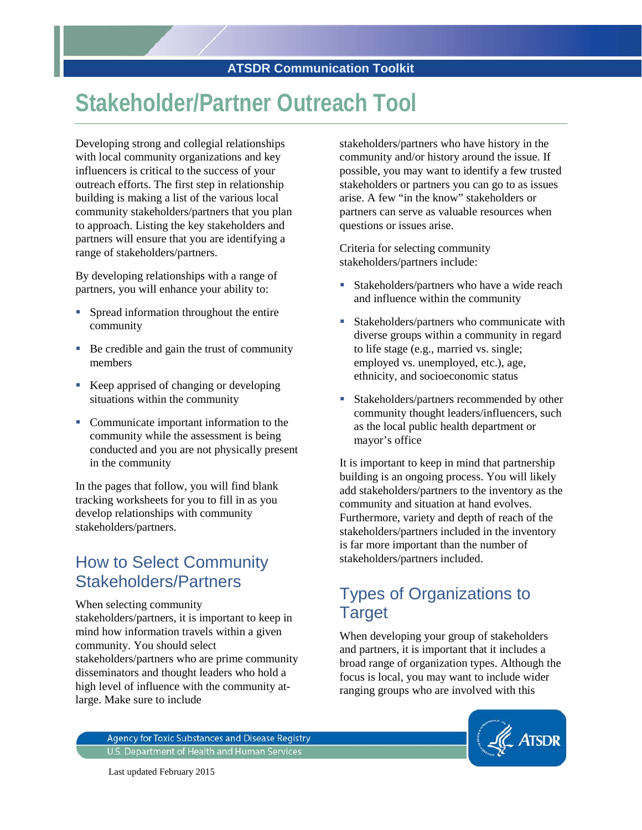## **Stakeholder/Partner Outreach Tool**

Developing strong and collegial relationships with local community organizations and key influencers is critical to the success of your outreach efforts. The first step in relationship building is making a list of the various local community stakeholders/partners that you plan to approach. Listing the key stakeholders and partners will ensure that you are identifying a range of stakeholders/partners.

By developing relationships with a range of partners, you will enhance your ability to:

- **Spread information throughout the entire** community
- Be credible and gain the trust of community members
- Keep apprised of changing or developing situations within the community
- Communicate important information to the community while the assessment is being conducted and you are not physically present in the community

In the pages that follow, you will find blank tracking worksheets for you to fill in as you develop relationships with community stakeholders/partners.

## How to Select Community Stakeholders/Partners

When selecting community stakeholders/partners, it is important to keep in mind how information travels within a given community. You should select stakeholders/partners who are prime community disseminators and thought leaders who hold a high level of influence with the community atlarge. Make sure to include

stakeholders/partners who have history in the community and/or history around the issue. If possible, you may want to identify a few trusted stakeholders or partners you can go to as issues arise. A few "in the know" stakeholders or partners can serve as valuable resources when questions or issues arise.

Criteria for selecting community stakeholders/partners include:

- Stakeholders/partners who have a wide reach and influence within the community
- **Stakeholders/partners who communicate with** diverse groups within a community in regard to life stage (e.g., married vs. single; employed vs. unemployed, etc.), age, ethnicity, and socioeconomic status
- Stakeholders/partners recommended by other community thought leaders/influencers, such as the local public health department or mayor's office

It is important to keep in mind that partnership building is an ongoing process. You will likely add stakeholders/partners to the inventory as the community and situation at hand evolves. Furthermore, variety and depth of reach of the stakeholders/partners included in the inventory is far more important than the number of stakeholders/partners included.

## Types of Organizations to **Target**

When developing your group of stakeholders and partners, it is important that it includes a broad range of organization types. Although the focus is local, you may want to include wider ranging groups who are involved with this

**Agency for Toxic Substances and Disease Registry** U.S. Department of Health and Human Services



Last updated February 2015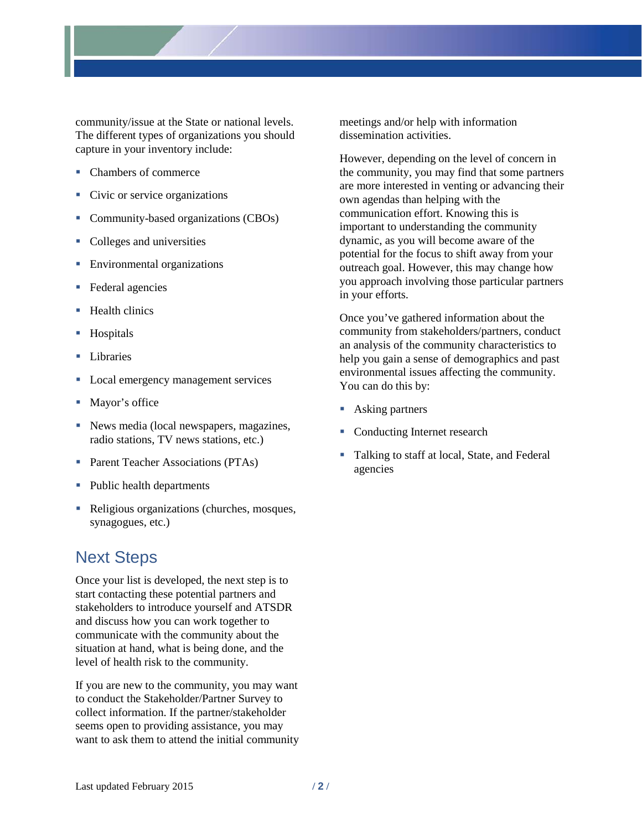

community/issue at the State or national levels. The different types of organizations you should capture in your inventory include:

- Chambers of commerce
- Civic or service organizations
- Community-based organizations (CBOs)
- Colleges and universities
- **Environmental organizations**
- Federal agencies
- $H$ ealth clinics
- **Hospitals**
- **Libraries**
- **Local emergency management services**
- Mayor's office
- News media (local newspapers, magazines, radio stations, TV news stations, etc.)
- Parent Teacher Associations (PTAs)
- Public health departments
- Religious organizations (churches, mosques, synagogues, etc.)

## Next Steps

Once your list is developed, the next step is to start contacting these potential partners and stakeholders to introduce yourself and ATSDR and discuss how you can work together to communicate with the community about the situation at hand, what is being done, and the level of health risk to the community.

If you are new to the community, you may want to conduct the Stakeholder/Partner Survey to collect information. If the partner/stakeholder seems open to providing assistance, you may want to ask them to attend the initial community meetings and/or help with information dissemination activities.

However, depending on the level of concern in the community, you may find that some partners are more interested in venting or advancing their own agendas than helping with the communication effort. Knowing this is important to understanding the community dynamic, as you will become aware of the potential for the focus to shift away from your outreach goal. However, this may change how you approach involving those particular partners in your efforts.

Once you've gathered information about the community from stakeholders/partners, conduct an analysis of the community characteristics to help you gain a sense of demographics and past environmental issues affecting the community. You can do this by:

- Asking partners
- Conducting Internet research
- Talking to staff at local, State, and Federal agencies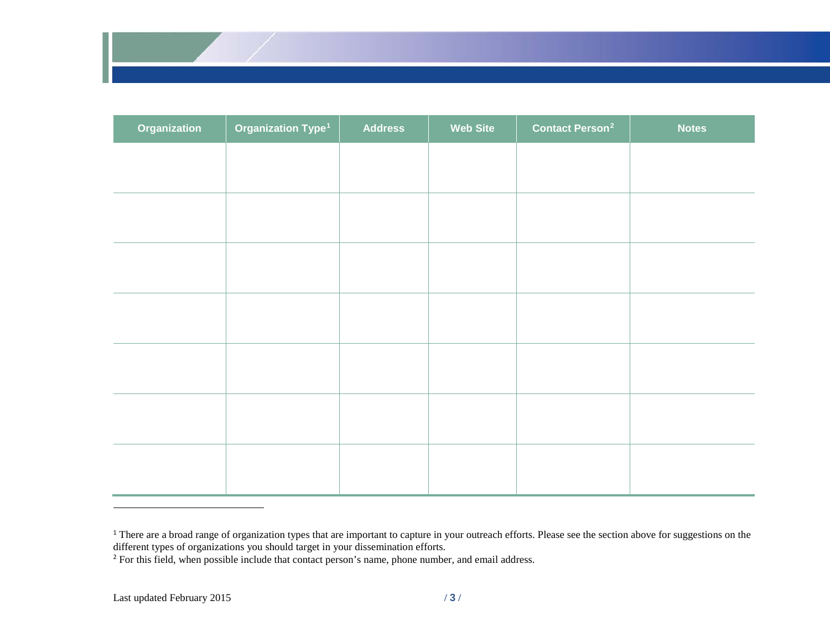<span id="page-2-1"></span><span id="page-2-0"></span>

| Organization | Organization Type <sup>1</sup> | <b>Address</b> | <b>Web Site</b> | <b>Contact Person<sup>2</sup></b> | <b>Notes</b> |
|--------------|--------------------------------|----------------|-----------------|-----------------------------------|--------------|
|              |                                |                |                 |                                   |              |
|              |                                |                |                 |                                   |              |
|              |                                |                |                 |                                   |              |
|              |                                |                |                 |                                   |              |
|              |                                |                |                 |                                   |              |
|              |                                |                |                 |                                   |              |
|              |                                |                |                 |                                   |              |
|              |                                |                |                 |                                   |              |
|              |                                |                |                 |                                   |              |
|              |                                |                |                 |                                   |              |
|              |                                |                |                 |                                   |              |
|              |                                |                |                 |                                   |              |
|              |                                |                |                 |                                   |              |
|              |                                |                |                 |                                   |              |

<sup>&</sup>lt;sup>1</sup> There are a broad range of organization types that are important to capture in your outreach efforts. Please see the section above for suggestions on the different types of organizations you should target in your dissemination efforts.

 $\overline{a}$ 

<sup>&</sup>lt;sup>2</sup> For this field, when possible include that contact person's name, phone number, and email address.